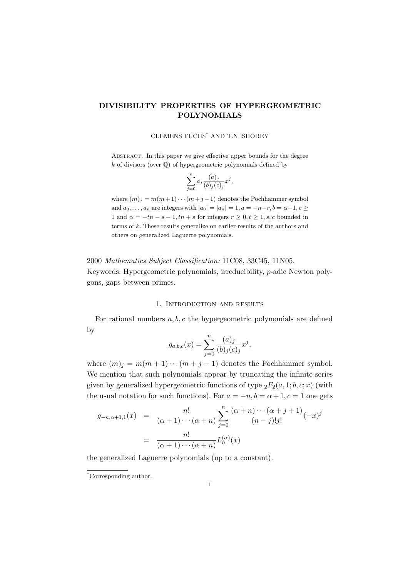# DIVISIBILITY PROPERTIES OF HYPERGEOMETRIC POLYNOMIALS

### CLEMENS FUCHS† AND T.N. SHOREY

ABSTRACT. In this paper we give effective upper bounds for the degree  $k$  of divisors (over  $\mathbb Q$ ) of hypergeometric polynomials defined by

$$
\sum_{j=0}^{n} a_j \frac{(a)_j}{(b)_j(c)_j} x^j,
$$

where  $(m)_i = m(m+1)\cdots(m+j-1)$  denotes the Pochhammer symbol and  $a_0, \ldots, a_n$  are integers with  $|a_0| = |a_n| = 1, a = -n-r, b = \alpha+1, c \geq 1$ 1 and  $\alpha = -tn - s - 1, tn + s$  for integers  $r > 0, t > 1, s, c$  bounded in terms of k. These results generalize on earlier results of the authors and others on generalized Laguerre polynomials.

2000 Mathematics Subject Classification: 11C08, 33C45, 11N05. Keywords: Hypergeometric polynomials, irreducibility, p-adic Newton polygons, gaps between primes.

# 1. Introduction and results

For rational numbers  $a, b, c$  the hypergeometric polynomials are defined by

$$
g_{a,b,c}(x) = \sum_{j=0}^{n} \frac{(a)_j}{(b)_j(c)_j} x^j,
$$

where  $(m)_j = m(m+1)\cdots(m+j-1)$  denotes the Pochhammer symbol. We mention that such polynomials appear by truncating the infinite series given by generalized hypergeometric functions of type  ${}_2F_2(a, 1; b, c; x)$  (with the usual notation for such functions). For  $a = -n, b = \alpha + 1, c = 1$  one gets

$$
g_{-n,\alpha+1,1}(x) = \frac{n!}{(\alpha+1)\cdots(\alpha+n)} \sum_{j=0}^{n} \frac{(\alpha+n)\cdots(\alpha+j+1)}{(n-j)!j!} (-x)^j
$$

$$
= \frac{n!}{(\alpha+1)\cdots(\alpha+n)} L_n^{(\alpha)}(x)
$$

the generalized Laguerre polynomials (up to a constant).

<sup>†</sup>Corresponding author.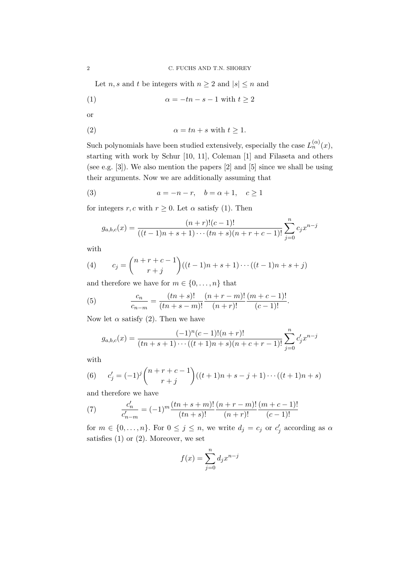Let *n*, *s* and *t* be integers with  $n \geq 2$  and  $|s| \leq n$  and

$$
(1) \qquad \alpha = -tn - s - 1 \text{ with } t \ge 2
$$

or

$$
\alpha = tn + s \text{ with } t \ge 1.
$$

Such polynomials have been studied extensively, especially the case  $L_n^{(\alpha)}(x)$ , starting with work by Schur [10, 11], Coleman [1] and Filaseta and others (see e.g. [3]). We also mention the papers [2] and [5] since we shall be using their arguments. Now we are additionally assuming that

(3) 
$$
a = -n - r, \quad b = \alpha + 1, \quad c \ge 1
$$

for integers r, c with  $r \geq 0$ . Let  $\alpha$  satisfy (1). Then

$$
g_{a,b,c}(x) = \frac{(n+r)!(c-1)!}{((t-1)n+s+1)\cdots(tn+s)(n+r+c-1)!} \sum_{j=0}^{n} c_j x^{n-j}
$$

with

(4) 
$$
c_j = {n+r+c-1 \choose r+j}((t-1)n+s+1)\cdots((t-1)n+s+j)
$$

and therefore we have for  $m \in \{0, \ldots, n\}$  that

(5) 
$$
\frac{c_n}{c_{n-m}} = \frac{(tn+s)!}{(tn+s-m)!} \frac{(n+r-m)!}{(n+r)!} \frac{(m+c-1)!}{(c-1)!}.
$$

Now let  $\alpha$  satisfy (2). Then we have

$$
g_{a,b,c}(x) = \frac{(-1)^n(c-1)!(n+r)!}{(tn+s+1)\cdots((t+1)n+s)(n+c+r-1)!} \sum_{j=0}^n c'_j x^{n-j}
$$

with

(6) 
$$
c'_{j} = (-1)^{j} {n+r+c-1 \choose r+j} ((t+1)n+s-j+1)\cdots((t+1)n+s)
$$

and therefore we have

(7) 
$$
\frac{c'_n}{c'_{n-m}} = (-1)^m \frac{(tn+s+m)!}{(tn+s)!} \frac{(n+r-m)!}{(n+r)!} \frac{(m+c-1)!}{(c-1)!}
$$

for  $m \in \{0, \ldots, n\}$ . For  $0 \leq j \leq n$ , we write  $d_j = c_j$  or  $c'_j$  according as  $\alpha$ satisfies  $(1)$  or  $(2)$ . Moreover, we set

$$
f(x) = \sum_{j=0}^{n} d_j x^{n-j}
$$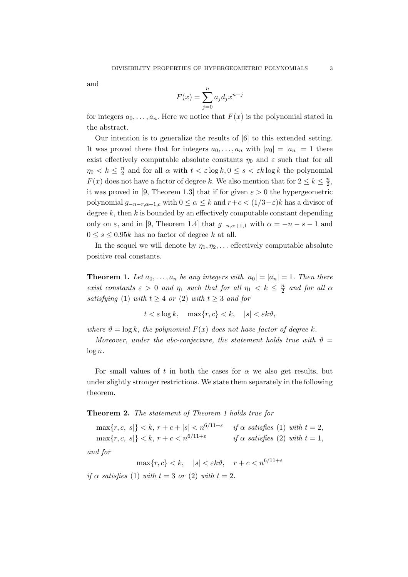and

$$
F(x) = \sum_{j=0}^{n} a_j d_j x^{n-j}
$$

for integers  $a_0, \ldots, a_n$ . Here we notice that  $F(x)$  is the polynomial stated in the abstract.

Our intention is to generalize the results of [6] to this extended setting. It was proved there that for integers  $a_0, \ldots, a_n$  with  $|a_0| = |a_n| = 1$  there exist effectively computable absolute constants  $\eta_0$  and  $\varepsilon$  such that for all  $\eta_0 < k \leq \frac{n}{2}$  $\frac{n}{2}$  and for all  $\alpha$  with  $t < \varepsilon \log k$ ,  $0 \le s < \varepsilon k \log k$  the polynomial  $F(x)$  does not have a factor of degree k. We also mention that for  $2 \leq k \leq \frac{n}{2}$  $\frac{n}{2}$ it was proved in [9, Theorem 1.3] that if for given  $\varepsilon > 0$  the hypergeometric polynomial  $g_{-n-r,\alpha+1,c}$  with  $0 \leq \alpha \leq k$  and  $r+c < (1/3-\varepsilon)k$  has a divisor of degree  $k$ , then  $k$  is bounded by an effectively computable constant depending only on  $\varepsilon$ , and in [9, Theorem 1.4] that  $g_{-n,\alpha+1,1}$  with  $\alpha = -n - s - 1$  and  $0 \leq s \leq 0.95k$  has no factor of degree k at all.

In the sequel we will denote by  $\eta_1, \eta_2, \ldots$  effectively computable absolute positive real constants.

**Theorem 1.** Let  $a_0, \ldots, a_n$  be any integers with  $|a_0| = |a_n| = 1$ . Then there exist constants  $\varepsilon > 0$  and  $\eta_1$  such that for all  $\eta_1 < k \leq \frac{n}{2}$  $\frac{n}{2}$  and for all  $\alpha$ satisfying (1) with  $t \geq 4$  or (2) with  $t \geq 3$  and for

 $t < \varepsilon \log k$ ,  $\max\{r, c\} < k$ ,  $|s| < \varepsilon k \vartheta$ ,

where  $\vartheta = \log k$ , the polynomial  $F(x)$  does not have factor of degree k.

Moreover, under the abc-conjecture, the statement holds true with  $\vartheta =$  $\log n$ .

For small values of t in both the cases for  $\alpha$  we also get results, but under slightly stronger restrictions. We state them separately in the following theorem.

#### Theorem 2. The statement of Theorem 1 holds true for

 $\max\{r, c, |s|\} < k, r + c + |s| < n^{6/11+\varepsilon}$  if  $\alpha$  satisfies (1) with  $t = 2$ ,  $\max\{r, c, |s|\} < k, r + c < n^{6/11 + \varepsilon}$ if  $\alpha$  satisfies (2) with  $t = 1$ ,

and for

 $\max\{r, c\} < k, \quad |s| < \varepsilon k \vartheta, \quad r + c < n^{6/11 + \varepsilon}$ 

if  $\alpha$  satisfies (1) with  $t = 3$  or (2) with  $t = 2$ .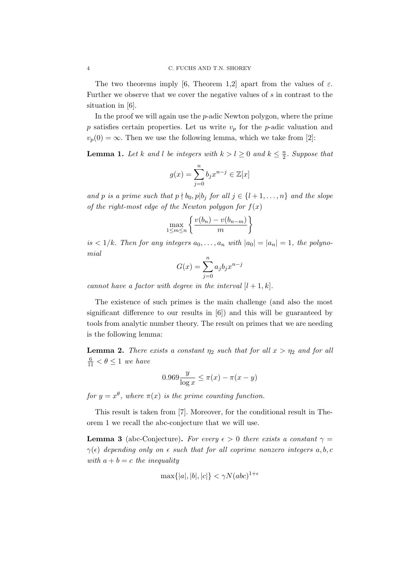The two theorems imply [6, Theorem 1,2] apart from the values of  $\varepsilon$ . Further we observe that we cover the negative values of s in contrast to the situation in [6].

In the proof we will again use the  $p$ -adic Newton polygon, where the prime p satisfies certain properties. Let us write  $v_p$  for the p-adic valuation and  $v_p(0) = \infty$ . Then we use the following lemma, which we take from [2]:

**Lemma 1.** Let k and l be integers with  $k > l \geq 0$  and  $k \leq \frac{n}{2}$  $\frac{n}{2}$ . Suppose that

$$
g(x) = \sum_{j=0}^{n} b_j x^{n-j} \in \mathbb{Z}[x]
$$

and p is a prime such that  $p \nmid b_0, p | b_j$  for all  $j \in \{l + 1, \ldots, n\}$  and the slope of the right-most edge of the Newton polygon for  $f(x)$ 

$$
\max_{1 \le m \le n} \left\{ \frac{v(b_n) - v(b_{n-m})}{m} \right\}
$$

is  $\langle 1/k$ . Then for any integers  $a_0, \ldots, a_n$  with  $|a_0| = |a_n| = 1$ , the polynomial

$$
G(x) = \sum_{j=0}^{n} a_j b_j x^{n-j}
$$

cannot have a factor with degree in the interval  $[l + 1, k]$ .

The existence of such primes is the main challenge (and also the most significant difference to our results in [6]) and this will be guaranteed by tools from analytic number theory. The result on primes that we are needing is the following lemma:

**Lemma 2.** There exists a constant  $\eta_2$  such that for all  $x > \eta_2$  and for all  $\frac{6}{11} < \theta \leq 1$  we have

$$
0.969 \frac{y}{\log x} \le \pi(x) - \pi(x - y)
$$

for  $y = x^{\theta}$ , where  $\pi(x)$  is the prime counting function.

This result is taken from [7]. Moreover, for the conditional result in Theorem 1 we recall the abc-conjecture that we will use.

**Lemma 3** (abc-Conjecture). For every  $\epsilon > 0$  there exists a constant  $\gamma =$  $\gamma(\epsilon)$  depending only on  $\epsilon$  such that for all coprime nonzero integers a, b, c with  $a + b = c$  the inequality

$$
\max\{|a|, |b|, |c|\} < \gamma N(abc)^{1+\epsilon}
$$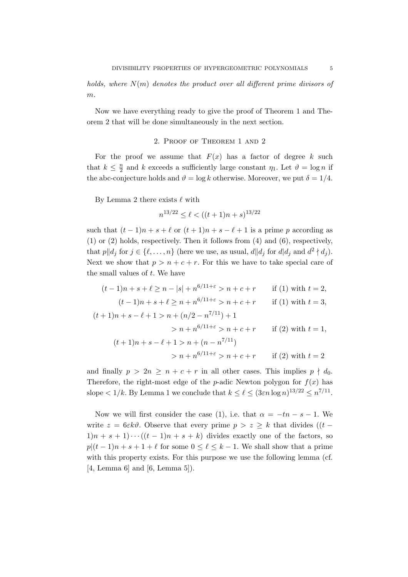holds, where  $N(m)$  denotes the product over all different prime divisors of m.

Now we have everything ready to give the proof of Theorem 1 and Theorem 2 that will be done simultaneously in the next section.

# 2. Proof of Theorem 1 and 2

For the proof we assume that  $F(x)$  has a factor of degree k such that  $k \leq \frac{n}{2}$  $\frac{n}{2}$  and k exceeds a sufficiently large constant  $\eta_1$ . Let  $\vartheta = \log n$  if the abc-conjecture holds and  $\vartheta = \log k$  otherwise. Moreover, we put  $\delta = 1/4$ .

By Lemma 2 there exists  $\ell$  with

$$
n^{13/22} \le \ell < ((t+1)n + s)^{13/22}
$$

such that  $(t-1)n + s + \ell$  or  $(t+1)n + s - \ell + 1$  is a prime p according as (1) or (2) holds, respectively. Then it follows from (4) and (6), respectively, that  $p||d_j$  for  $j \in \{\ell, ..., n\}$  (here we use, as usual,  $d||d_j$  for  $d|d_j$  and  $d^2 \nmid d_j$ ). Next we show that  $p > n + c + r$ . For this we have to take special care of the small values of  $t$ . We have

$$
(t-1)n + s + \ell \ge n - |s| + n^{6/11+\epsilon} > n + c + r \quad \text{if (1) with } t = 2,
$$
  
\n
$$
(t-1)n + s + \ell \ge n + n^{6/11+\epsilon} > n + c + r \quad \text{if (1) with } t = 3,
$$
  
\n
$$
(t+1)n + s - \ell + 1 > n + (n/2 - n^{7/11}) + 1
$$
  
\n
$$
> n + n^{6/11+\epsilon} > n + c + r \quad \text{if (2) with } t = 1,
$$
  
\n
$$
(t+1)n + s - \ell + 1 > n + (n - n^{7/11})
$$
  
\n
$$
> n + n^{6/11+\epsilon} > n + c + r \quad \text{if (2) with } t = 2
$$

and finally  $p > 2n \geq n + c + r$  in all other cases. This implies  $p \nmid d_0$ . Therefore, the right-most edge of the *p*-adic Newton polygon for  $f(x)$  has slope  $\lt 1/k$ . By Lemma 1 we conclude that  $k \leq \ell \leq (3\varepsilon n \log n)^{13/22} \leq n^{7/11}$ .

Now we will first consider the case (1), i.e. that  $\alpha = -tn - s - 1$ . We write  $z = 6\varepsilon k\vartheta$ . Observe that every prime  $p > z \geq k$  that divides  $((t 1\vert n+s+1\rangle\cdots\left((t-1\vert n+s+k)\right)$  divides exactly one of the factors, so  $p|(t-1)n + s + 1 + \ell$  for some  $0 \leq \ell \leq k-1$ . We shall show that a prime with this property exists. For this purpose we use the following lemma (cf. [4, Lemma 6] and [6, Lemma 5]).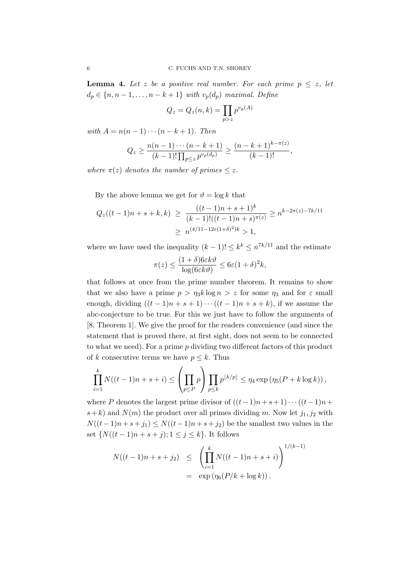**Lemma 4.** Let z be a positive real number. For each prime  $p \leq z$ , let  $d_p \in \{n, n-1, \ldots, n-k+1\}$  with  $v_p(d_p)$  maximal. Define

$$
Q_z = Q_z(n,k) = \prod_{p>z} p^{v_p(A)}
$$

with  $A = n(n-1)\cdots(n-k+1)$ . Then

$$
Q_z \ge \frac{n(n-1)\cdots(n-k+1)}{(k-1)!\prod_{p\le z}p^{v_p(d_p)}} \ge \frac{(n-k+1)^{k-\pi(z)}}{(k-1)!},
$$

where  $\pi(z)$  denotes the number of primes  $\leq z$ .

By the above lemma we get for  $\vartheta = \log k$  that

$$
Q_z((t-1)n+s+k,k) \ge \frac{((t-1)n+s+1)^k}{(k-1)!((t-1)n+s)^{\pi(z)}} \ge n^{k-2\pi(z)-7k/11}
$$

$$
\ge n^{(4/11-12\varepsilon(1+\delta)^2)k} > 1,
$$

where we have used the inequality  $(k-1)! \leq k^k \leq n^{7k/11}$  and the estimate

$$
\pi(z) \le \frac{(1+\delta)6\varepsilon k\vartheta}{\log(6\varepsilon k\vartheta)} \le 6\varepsilon(1+\delta)^2 k,
$$

that follows at once from the prime number theorem. It remains to show that we also have a prime  $p > \eta_3 k \log n > z$  for some  $\eta_3$  and for  $\varepsilon$  small enough, dividing  $((t-1)n + s + 1) \cdots ((t-1)n + s + k)$ , if we assume the abc-conjecture to be true. For this we just have to follow the arguments of [8, Theorem 1]. We give the proof for the readers convenience (and since the statement that is proved there, at first sight, does not seem to be connected to what we need). For a prime p dividing two different factors of this product of k consecutive terms we have  $p \leq k$ . Thus

$$
\prod_{i=1}^k N((t-1)n + s + i) \le \left(\prod_{p \le P} p\right) \prod_{p \le k} p^{\lfloor k/p \rfloor} \le \eta_4 \exp\left(\eta_5(P + k \log k)\right),
$$

where P denotes the largest prime divisor of  $((t-1)n+s+1)\cdots((t-1)n+$  $s+k$ ) and  $N(m)$  the product over all primes dividing m. Now let  $j_1, j_2$  with  $N((t-1)n + s + j_1) \leq N((t-1)n + s + j_2)$  be the smallest two values in the set  ${N((t-1)n + s + j); 1 ≤ j ≤ k}.$  It follows

$$
N((t-1)n + s + j_2) \leq \left(\prod_{i=1}^k N((t-1)n + s + i)\right)^{1/(k-1)}
$$
  
=  $\exp(\eta_6(P/k + \log k)).$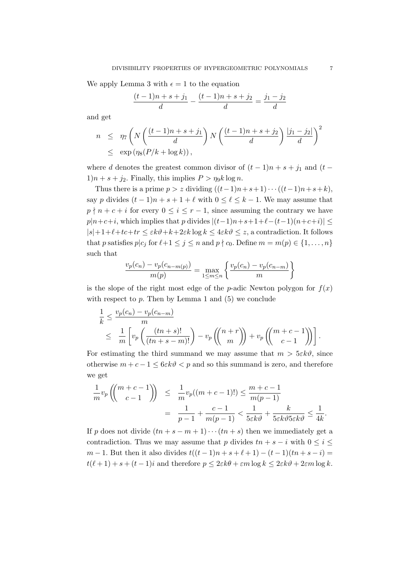We apply Lemma 3 with  $\epsilon = 1$  to the equation

$$
\frac{(t-1)n + s + j_1}{d} - \frac{(t-1)n + s + j_2}{d} = \frac{j_1 - j_2}{d}
$$

and get

$$
n \leq \eta_7 \left( N \left( \frac{(t-1)n + s + j_1}{d} \right) N \left( \frac{(t-1)n + s + j_2}{d} \right) \frac{|j_1 - j_2|}{d} \right)^2
$$
  

$$
\leq \exp \left( \eta_8 (P/k + \log k) \right),
$$

where d denotes the greatest common divisor of  $(t-1)n + s + j_1$  and  $(t 1\vert n+s+j_2$ . Finally, this implies  $P > \eta_9 k \log n$ .

Thus there is a prime  $p > z$  dividing  $((t-1)n+s+1)\cdots((t-1)n+s+k)$ , say p divides  $(t-1)n + s + 1 + \ell$  with  $0 \leq \ell \leq k-1$ . We may assume that  $p \nmid n + c + i$  for every  $0 \le i \le r - 1$ , since assuming the contrary we have  $p|n+c+i$ , which implies that p divides  $|(t-1)n+s+1+\ell-(t-1)(n+c+i)| \le$  $|s|+1+\ell+t\cdot t$   $\leq \varepsilon k\vartheta+k+2\varepsilon k\log k \leq 4\varepsilon k\vartheta \leq z$ , a contradiction. It follows that p satisfies  $p|c_j$  for  $\ell+1 \leq j \leq n$  and  $p \nmid c_0$ . Define  $m = m(p) \in \{1, \ldots, n\}$ such that

$$
\frac{v_p(c_n) - v_p(c_{n-m(p)})}{m(p)} = \max_{1 \le m \le n} \left\{ \frac{v_p(c_n) - v_p(c_{n-m})}{m} \right\}
$$

is the slope of the right most edge of the *p*-adic Newton polygon for  $f(x)$ with respect to  $p$ . Then by Lemma 1 and  $(5)$  we conclude

$$
\frac{1}{k} \leq \frac{v_p(c_n) - v_p(c_{n-m})}{m}
$$
\n
$$
\leq \frac{1}{m} \left[ v_p \left( \frac{(tn+s)!}{(tn+s-m)!} \right) - v_p \left( \left( \frac{n+r}{m} \right) \right) + v_p \left( \left( \frac{m+c-1}{c-1} \right) \right) \right].
$$

For estimating the third summand we may assume that  $m > 5\varepsilon k\vartheta$ , since otherwise  $m + c - 1 \leq 6\varepsilon k\vartheta < p$  and so this summand is zero, and therefore we get

$$
\frac{1}{m}v_p\left(\binom{m+c-1}{c-1}\right) \le \frac{1}{m}v_p((m+c-1)!) \le \frac{m+c-1}{m(p-1)}
$$
\n
$$
= \frac{1}{p-1} + \frac{c-1}{m(p-1)} < \frac{1}{5\varepsilon k\vartheta} + \frac{k}{5\varepsilon k\vartheta 5\varepsilon k\vartheta} \le \frac{1}{4k}
$$

If p does not divide  $(tn + s - m + 1) \cdots (tn + s)$  then we immediately get a contradiction. Thus we may assume that p divides  $tn + s - i$  with  $0 \leq i \leq$  $m-1$ . But then it also divides  $t((t-1)n + s + \ell + 1) - (t-1)(tn + s - i) =$  $t(\ell+1) + s + (t-1)i$  and therefore  $p \leq 2\varepsilon k\theta + \varepsilon m \log k \leq 2\varepsilon k\theta + 2\varepsilon m \log k$ .

.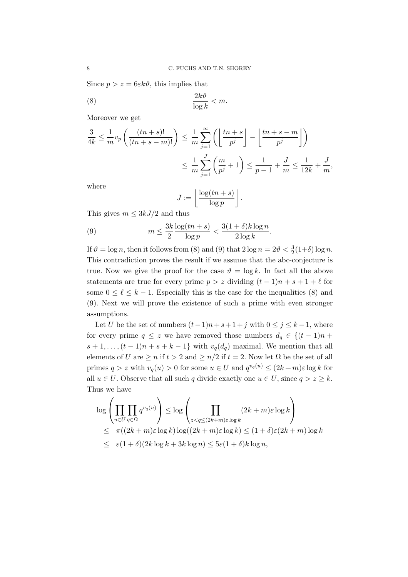Since  $p > z = 6\varepsilon k\vartheta$ , this implies that

$$
\frac{2k\vartheta}{\log k} < m.
$$

Moreover we get

$$
\frac{3}{4k} \le \frac{1}{m}v_p\left(\frac{(tn+s)!}{(tn+s-m)!}\right) \le \frac{1}{m}\sum_{j=1}^{\infty} \left(\left\lfloor\frac{tn+s}{p^j}\right\rfloor - \left\lfloor\frac{tn+s-m}{p^j}\right\rfloor\right)
$$

$$
\le \frac{1}{m}\sum_{j=1}^{J} \left(\frac{m}{p^j} + 1\right) \le \frac{1}{p-1} + \frac{J}{m} \le \frac{1}{12k} + \frac{J}{m},
$$

where

$$
J := \left\lfloor \frac{\log(tn+s)}{\log p} \right\rfloor.
$$

This gives  $m \leq 3kJ/2$  and thus

(9) 
$$
m \leq \frac{3k}{2} \frac{\log(tn+s)}{\log p} < \frac{3(1+\delta)k \log n}{2 \log k}.
$$

If  $\vartheta = \log n$ , then it follows from (8) and (9) that  $2 \log n = 2\vartheta < \frac{3}{2}(1+\delta) \log n$ . This contradiction proves the result if we assume that the abc-conjecture is true. Now we give the proof for the case  $\vartheta = \log k$ . In fact all the above statements are true for every prime  $p > z$  dividing  $(t-1)n + s + 1 + \ell$  for some  $0 \leq \ell \leq k-1$ . Especially this is the case for the inequalities (8) and (9). Next we will prove the existence of such a prime with even stronger assumptions.

Let U be the set of numbers  $(t-1)n + s + 1 + j$  with  $0 \le j \le k - 1$ , where for every prime  $q \leq z$  we have removed those numbers  $d_q \in \{(t-1)n +$  $s+1,\ldots,(t-1)n+s+k-1\}$  with  $v_q(d_q)$  maximal. We mention that all elements of U are  $\geq n$  if  $t > 2$  and  $\geq n/2$  if  $t = 2$ . Now let  $\Omega$  be the set of all primes  $q > z$  with  $v_q(u) > 0$  for some  $u \in U$  and  $q^{v_q(u)} \leq (2k+m)\varepsilon \log k$  for all  $u \in U$ . Observe that all such q divide exactly one  $u \in U$ , since  $q > z \geq k$ . Thus we have

$$
\log \left( \prod_{u \in U} \prod_{q \in \Omega} q^{v_q(u)} \right) \leq \log \left( \prod_{z < q \leq (2k+m)\varepsilon \log k} (2k+m)\varepsilon \log k \right)
$$
\n
$$
\leq \pi((2k+m)\varepsilon \log k) \log((2k+m)\varepsilon \log k) \leq (1+\delta)\varepsilon(2k+m) \log k
$$
\n
$$
\leq \varepsilon(1+\delta)(2k \log k + 3k \log n) \leq 5\varepsilon(1+\delta)k \log n,
$$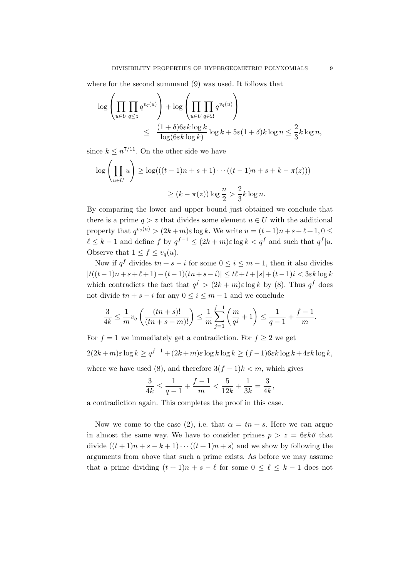where for the second summand (9) was used. It follows that

$$
\log \left( \prod_{u \in U} \prod_{q \le z} q^{v_q(u)} \right) + \log \left( \prod_{u \in U} \prod_{q \in \Omega} q^{v_q(u)} \right)
$$
  

$$
\le \frac{(1+\delta)6\varepsilon k \log k}{\log(6\varepsilon k \log k)} \log k + 5\varepsilon (1+\delta)k \log n \le \frac{2}{3}k \log n,
$$

since  $k \leq n^{7/11}$ . On the other side we have

$$
\log \left( \prod_{u \in U} u \right) \ge \log(((t-1)n + s + 1) \cdots ((t-1)n + s + k - \pi(z)))
$$
  
 
$$
\ge (k - \pi(z)) \log \frac{n}{2} > \frac{2}{3} k \log n.
$$

By comparing the lower and upper bound just obtained we conclude that there is a prime  $q > z$  that divides some element  $u \in U$  with the additional property that  $q^{v_q(u)} > (2k+m)\varepsilon \log k$ . We write  $u = (t-1)n + s + \ell + 1, 0 \leq$  $\ell \leq k-1$  and define f by  $q^{f-1} \leq (2k+m)\varepsilon \log k < q^f$  and such that  $q^f|u$ . Observe that  $1 \leq f \leq v_q(u)$ .

Now if  $q^f$  divides  $tn + s - i$  for some  $0 \leq i \leq m - 1$ , then it also divides  $|t((t-1)n+s+\ell+1)-(t-1)(tn+s-i)| \le t\ell+t+|s|+(t-1)i < 3\varepsilon k \log k$ which contradicts the fact that  $q^f > (2k + m)\varepsilon \log k$  by (8). Thus  $q^f$  does not divide  $tn + s - i$  for any  $0 \le i \le m - 1$  and we conclude

$$
\frac{3}{4k} \le \frac{1}{m} v_q \left( \frac{(tn+s)!}{(tn+s-m)!} \right) \le \frac{1}{m} \sum_{j=1}^{f-1} \left( \frac{m}{q^j} + 1 \right) \le \frac{1}{q-1} + \frac{f-1}{m}.
$$

For  $f = 1$  we immediately get a contradiction. For  $f \geq 2$  we get  $2(2k+m)\varepsilon \log k \geq q^{f-1} + (2k+m)\varepsilon \log k \log k \geq (f-1)6\varepsilon k \log k + 4\varepsilon k \log k,$ where we have used (8), and therefore  $3(f-1)k < m$ , which gives

$$
\frac{3}{4k} \leq \frac{1}{q-1} + \frac{f-1}{m} < \frac{5}{12k} + \frac{1}{3k} = \frac{3}{4k},
$$

a contradiction again. This completes the proof in this case.

Now we come to the case (2), i.e. that  $\alpha = tn + s$ . Here we can argue in almost the same way. We have to consider primes  $p > z = 6\varepsilon k\vartheta$  that divide  $((t+1)n + s - k + 1) \cdots ((t+1)n + s)$  and we show by following the arguments from above that such a prime exists. As before we may assume that a prime dividing  $(t + 1)n + s - \ell$  for some  $0 \leq \ell \leq k - 1$  does not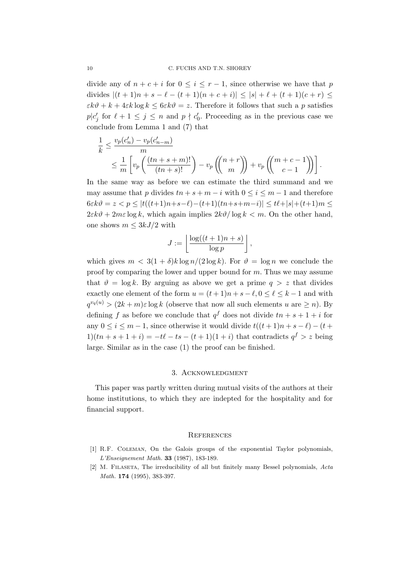divide any of  $n + c + i$  for  $0 \leq i \leq r - 1$ , since otherwise we have that p divides  $|(t + 1)n + s - \ell - (t + 1)(n + c + i)| \leq |s| + \ell + (t + 1)(c + r) \leq$  $\varepsilon k\vartheta + k + 4\varepsilon k \log k \leq 6\varepsilon k\vartheta = z$ . Therefore it follows that such a p satisfies  $p|c'_j$  for  $\ell + 1 \leq j \leq n$  and  $p \nmid c'_0$ . Proceeding as in the previous case we conclude from Lemma 1 and (7) that

$$
\frac{1}{k} \le \frac{v_p(c'_n) - v_p(c'_{n-m})}{m} \le \frac{1}{m} \left[ v_p\left(\frac{(tn+s+m)!}{(tn+s)!}\right) - v_p\left(\binom{n+r}{m}\right) + v_p\left(\binom{m+c-1}{c-1}\right) \right].
$$

In the same way as before we can estimate the third summand and we may assume that p divides  $tn + s + m - i$  with  $0 \le i \le m - 1$  and therefore  $6 \varepsilon k \vartheta = z < p \leq |t((t+1)n+s-\ell)-(t+1)(tn+s+m-i)| \leq t \ell + |s| + (t+1)m \leq$  $2\varepsilon k\vartheta + 2m\varepsilon \log k$ , which again implies  $2k\vartheta/\log k < m$ . On the other hand, one shows  $m \leq 3kJ/2$  with

$$
J := \left\lfloor \frac{\log((t+1)n + s)}{\log p} \right\rfloor,
$$

which gives  $m < 3(1 + \delta)k \log n/(2 \log k)$ . For  $\vartheta = \log n$  we conclude the proof by comparing the lower and upper bound for m. Thus we may assume that  $\vartheta = \log k$ . By arguing as above we get a prime  $q > z$  that divides exactly one element of the form  $u = (t+1)n + s - \ell, 0 \leq \ell \leq k-1$  and with  $q^{v_q(u)}$  >  $(2k+m)\varepsilon \log k$  (observe that now all such elements u are  $\geq n$ ). By defining f as before we conclude that  $q^f$  does not divide  $tn + s + 1 + i$  for any  $0 \leq i \leq m-1$ , since otherwise it would divide  $t((t+1)n + s - \ell) - (t+1)n$  $1)(tn + s + 1 + i) = -t\ell - ts - (t + 1)(1 + i)$  that contradicts  $q^f > z$  being large. Similar as in the case (1) the proof can be finished.

### 3. Acknowledgment

This paper was partly written during mutual visits of the authors at their home institutions, to which they are indepted for the hospitality and for financial support.

#### **REFERENCES**

- [1] R.F. Coleman, On the Galois groups of the exponential Taylor polynomials, L'Enseignement Math. 33 (1987), 183-189.
- [2] M. Filaseta, The irreducibility of all but finitely many Bessel polynomials, Acta Math. 174 (1995), 383-397.